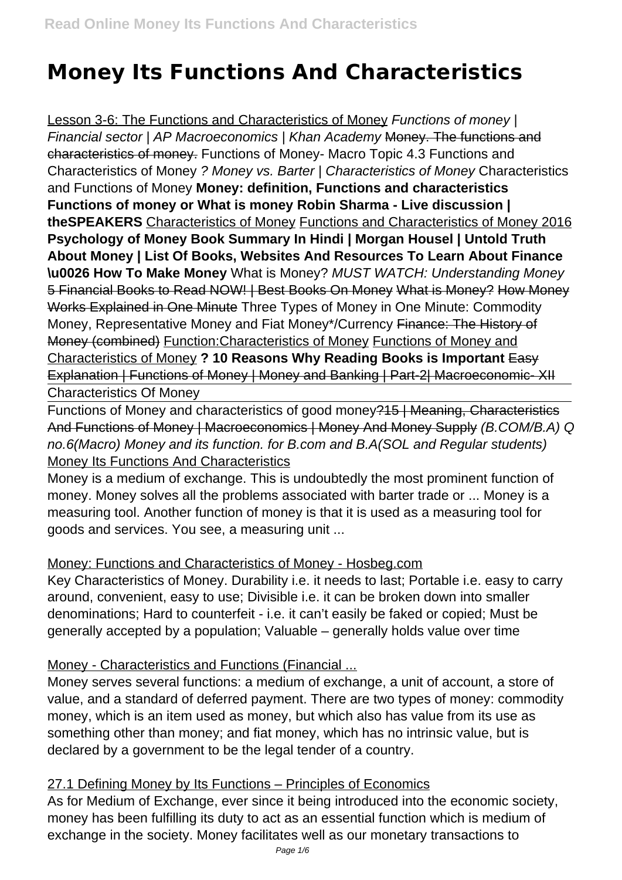# **Money Its Functions And Characteristics**

Lesson 3-6: The Functions and Characteristics of Money Functions of money ( Financial sector | AP Macroeconomics | Khan Academy Money. The functions and characteristics of money. Functions of Money- Macro Topic 4.3 Functions and Characteristics of Money ? Money vs. Barter | Characteristics of Money Characteristics and Functions of Money **Money: definition, Functions and characteristics Functions of money or What is money Robin Sharma - Live discussion | theSPEAKERS** Characteristics of Money Functions and Characteristics of Money 2016 **Psychology of Money Book Summary In Hindi | Morgan Housel | Untold Truth About Money | List Of Books, Websites And Resources To Learn About Finance \u0026 How To Make Money** What is Money? MUST WATCH: Understanding Money 5 Financial Books to Read NOW! | Best Books On Money What is Money? How Money Works Explained in One Minute Three Types of Money in One Minute: Commodity Money, Representative Money and Fiat Money\*/Currency Finance: The History of Money (combined) Function:Characteristics of Money Functions of Money and Characteristics of Money **? 10 Reasons Why Reading Books is Important** Easy Explanation | Functions of Money | Money and Banking | Part-2| Macroeconomic-XII Characteristics Of Money

Functions of Money and characteristics of good money?15 | Meaning, Characteristics And Functions of Money | Macroeconomics | Money And Money Supply (B.COM/B.A) Q no.6(Macro) Money and its function. for B.com and B.A(SOL and Regular students) Money Its Functions And Characteristics

Money is a medium of exchange. This is undoubtedly the most prominent function of money. Money solves all the problems associated with barter trade or ... Money is a measuring tool. Another function of money is that it is used as a measuring tool for goods and services. You see, a measuring unit ...

# Money: Functions and Characteristics of Money - Hosbeg.com

Key Characteristics of Money. Durability i.e. it needs to last; Portable i.e. easy to carry around, convenient, easy to use; Divisible i.e. it can be broken down into smaller denominations; Hard to counterfeit - i.e. it can't easily be faked or copied; Must be generally accepted by a population; Valuable – generally holds value over time

# Money - Characteristics and Functions (Financial ...

Money serves several functions: a medium of exchange, a unit of account, a store of value, and a standard of deferred payment. There are two types of money: commodity money, which is an item used as money, but which also has value from its use as something other than money; and fiat money, which has no intrinsic value, but is declared by a government to be the legal tender of a country.

# 27.1 Defining Money by Its Functions – Principles of Economics

As for Medium of Exchange, ever since it being introduced into the economic society, money has been fulfilling its duty to act as an essential function which is medium of exchange in the society. Money facilitates well as our monetary transactions to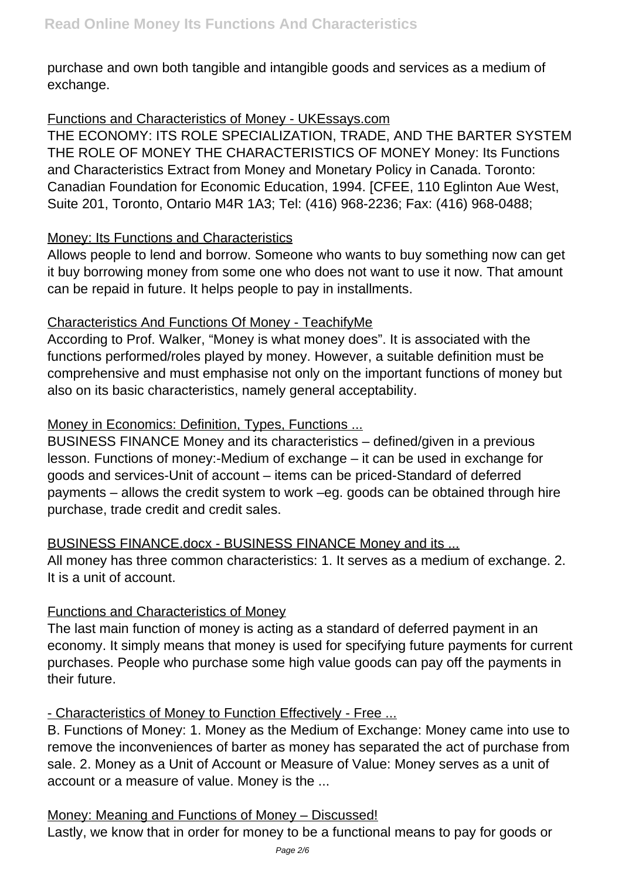purchase and own both tangible and intangible goods and services as a medium of exchange.

# Functions and Characteristics of Money - UKEssays.com

THE ECONOMY: ITS ROLE SPECIALIZATION, TRADE, AND THE BARTER SYSTEM THE ROLE OF MONEY THE CHARACTERISTICS OF MONEY Money: Its Functions and Characteristics Extract from Money and Monetary Policy in Canada. Toronto: Canadian Foundation for Economic Education, 1994. [CFEE, 110 Eglinton Aue West, Suite 201, Toronto, Ontario M4R 1A3; Tel: (416) 968-2236; Fax: (416) 968-0488;

# Money: Its Functions and Characteristics

Allows people to lend and borrow. Someone who wants to buy something now can get it buy borrowing money from some one who does not want to use it now. That amount can be repaid in future. It helps people to pay in installments.

# Characteristics And Functions Of Money - TeachifyMe

According to Prof. Walker, "Money is what money does". It is associated with the functions performed/roles played by money. However, a suitable definition must be comprehensive and must emphasise not only on the important functions of money but also on its basic characteristics, namely general acceptability.

# Money in Economics: Definition, Types, Functions ...

BUSINESS FINANCE Money and its characteristics – defined/given in a previous lesson. Functions of money:-Medium of exchange – it can be used in exchange for goods and services-Unit of account – items can be priced-Standard of deferred payments – allows the credit system to work –eg. goods can be obtained through hire purchase, trade credit and credit sales.

# BUSINESS FINANCE.docx - BUSINESS FINANCE Money and its ...

All money has three common characteristics: 1. It serves as a medium of exchange. 2. It is a unit of account.

# Functions and Characteristics of Money

The last main function of money is acting as a standard of deferred payment in an economy. It simply means that money is used for specifying future payments for current purchases. People who purchase some high value goods can pay off the payments in their future.

# - Characteristics of Money to Function Effectively - Free ...

B. Functions of Money: 1. Money as the Medium of Exchange: Money came into use to remove the inconveniences of barter as money has separated the act of purchase from sale. 2. Money as a Unit of Account or Measure of Value: Money serves as a unit of account or a measure of value. Money is the ...

# Money: Meaning and Functions of Money – Discussed!

Lastly, we know that in order for money to be a functional means to pay for goods or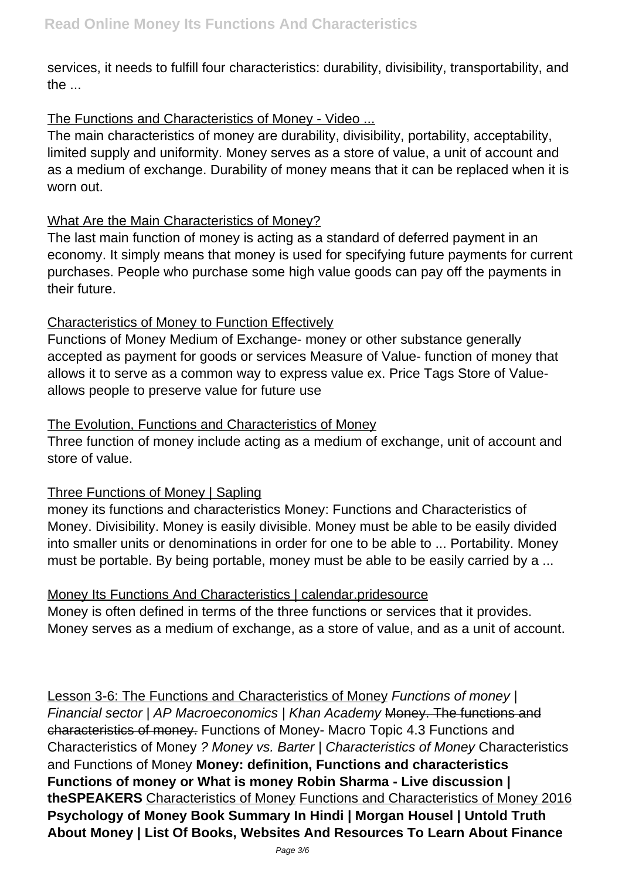services, it needs to fulfill four characteristics: durability, divisibility, transportability, and the ...

# The Functions and Characteristics of Money - Video ...

The main characteristics of money are durability, divisibility, portability, acceptability, limited supply and uniformity. Money serves as a store of value, a unit of account and as a medium of exchange. Durability of money means that it can be replaced when it is worn out.

#### What Are the Main Characteristics of Money?

The last main function of money is acting as a standard of deferred payment in an economy. It simply means that money is used for specifying future payments for current purchases. People who purchase some high value goods can pay off the payments in their future.

#### Characteristics of Money to Function Effectively

Functions of Money Medium of Exchange- money or other substance generally accepted as payment for goods or services Measure of Value- function of money that allows it to serve as a common way to express value ex. Price Tags Store of Valueallows people to preserve value for future use

#### The Evolution, Functions and Characteristics of Money

Three function of money include acting as a medium of exchange, unit of account and store of value.

#### Three Functions of Money | Sapling

money its functions and characteristics Money: Functions and Characteristics of Money. Divisibility. Money is easily divisible. Money must be able to be easily divided into smaller units or denominations in order for one to be able to ... Portability. Money must be portable. By being portable, money must be able to be easily carried by a ...

#### Money Its Functions And Characteristics | calendar.pridesource

Money is often defined in terms of the three functions or services that it provides. Money serves as a medium of exchange, as a store of value, and as a unit of account.

Lesson 3-6: The Functions and Characteristics of Money Functions of money ( Financial sector | AP Macroeconomics | Khan Academy Money. The functions and characteristics of money. Functions of Money- Macro Topic 4.3 Functions and Characteristics of Money ? Money vs. Barter | Characteristics of Money Characteristics and Functions of Money **Money: definition, Functions and characteristics Functions of money or What is money Robin Sharma - Live discussion | theSPEAKERS** Characteristics of Money Functions and Characteristics of Money 2016 **Psychology of Money Book Summary In Hindi | Morgan Housel | Untold Truth About Money | List Of Books, Websites And Resources To Learn About Finance**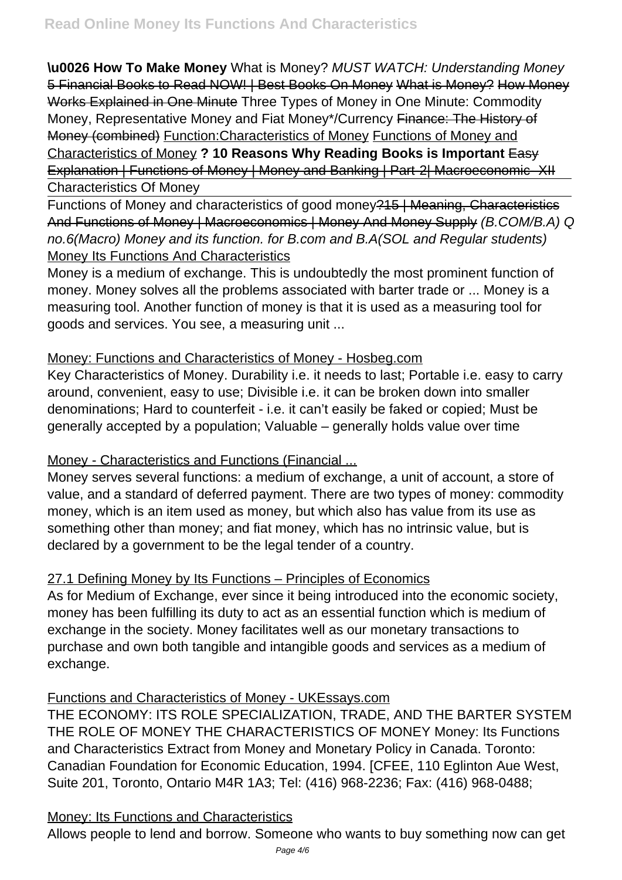**\u0026 How To Make Money** What is Money? MUST WATCH: Understanding Money 5 Financial Books to Read NOW! | Best Books On Money What is Money? How Money Works Explained in One Minute Three Types of Money in One Minute: Commodity Money, Representative Money and Fiat Money\*/Currency Finance: The History of Money (combined) Function:Characteristics of Money Functions of Money and Characteristics of Money **? 10 Reasons Why Reading Books is Important** Easy Explanation | Functions of Money | Money and Banking | Part-2| Macroeconomic-XII Characteristics Of Money

Functions of Money and characteristics of good money?15 | Meaning, Characteristics And Functions of Money | Macroeconomics | Money And Money Supply (B.COM/B.A) Q no.6(Macro) Money and its function. for B.com and B.A(SOL and Regular students) **Money Its Functions And Characteristics** 

Money is a medium of exchange. This is undoubtedly the most prominent function of money. Money solves all the problems associated with barter trade or ... Money is a measuring tool. Another function of money is that it is used as a measuring tool for goods and services. You see, a measuring unit ...

#### Money: Functions and Characteristics of Money - Hosbeg.com

Key Characteristics of Money. Durability i.e. it needs to last; Portable i.e. easy to carry around, convenient, easy to use; Divisible i.e. it can be broken down into smaller denominations; Hard to counterfeit - i.e. it can't easily be faked or copied; Must be generally accepted by a population; Valuable – generally holds value over time

# Money - Characteristics and Functions (Financial ...

Money serves several functions: a medium of exchange, a unit of account, a store of value, and a standard of deferred payment. There are two types of money: commodity money, which is an item used as money, but which also has value from its use as something other than money; and fiat money, which has no intrinsic value, but is declared by a government to be the legal tender of a country.

# 27.1 Defining Money by Its Functions – Principles of Economics

As for Medium of Exchange, ever since it being introduced into the economic society, money has been fulfilling its duty to act as an essential function which is medium of exchange in the society. Money facilitates well as our monetary transactions to purchase and own both tangible and intangible goods and services as a medium of exchange.

#### Functions and Characteristics of Money - UKEssays.com

THE ECONOMY: ITS ROLE SPECIALIZATION, TRADE, AND THE BARTER SYSTEM THE ROLE OF MONEY THE CHARACTERISTICS OF MONEY Money: Its Functions and Characteristics Extract from Money and Monetary Policy in Canada. Toronto: Canadian Foundation for Economic Education, 1994. [CFEE, 110 Eglinton Aue West, Suite 201, Toronto, Ontario M4R 1A3; Tel: (416) 968-2236; Fax: (416) 968-0488;

# Money: Its Functions and Characteristics

Allows people to lend and borrow. Someone who wants to buy something now can get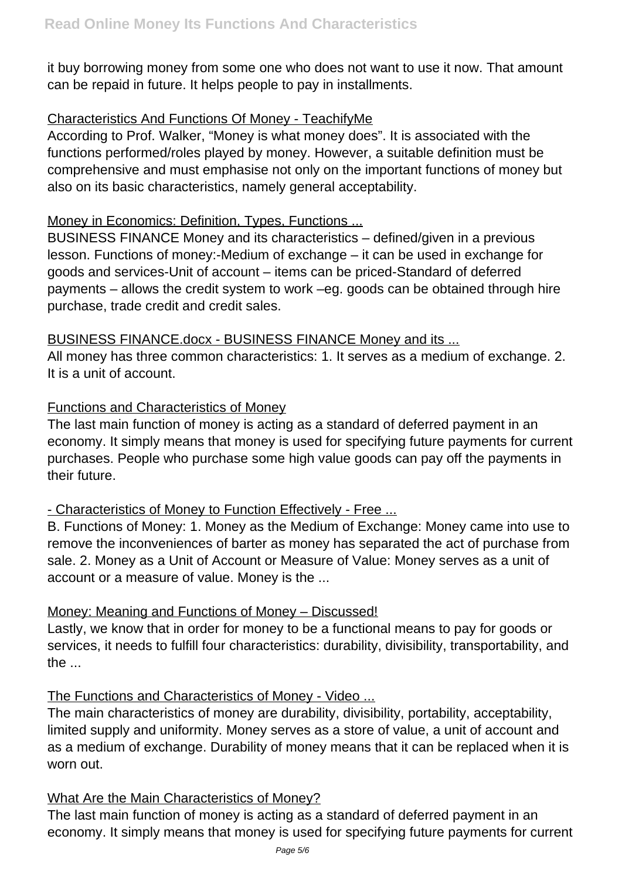it buy borrowing money from some one who does not want to use it now. That amount can be repaid in future. It helps people to pay in installments.

# Characteristics And Functions Of Money - TeachifyMe

According to Prof. Walker, "Money is what money does". It is associated with the functions performed/roles played by money. However, a suitable definition must be comprehensive and must emphasise not only on the important functions of money but also on its basic characteristics, namely general acceptability.

#### Money in Economics: Definition, Types, Functions ...

BUSINESS FINANCE Money and its characteristics – defined/given in a previous lesson. Functions of money:-Medium of exchange – it can be used in exchange for goods and services-Unit of account – items can be priced-Standard of deferred payments – allows the credit system to work –eg. goods can be obtained through hire purchase, trade credit and credit sales.

#### BUSINESS FINANCE.docx - BUSINESS FINANCE Money and its ...

All money has three common characteristics: 1. It serves as a medium of exchange. 2. It is a unit of account.

# Functions and Characteristics of Money

The last main function of money is acting as a standard of deferred payment in an economy. It simply means that money is used for specifying future payments for current purchases. People who purchase some high value goods can pay off the payments in their future.

# - Characteristics of Money to Function Effectively - Free ...

B. Functions of Money: 1. Money as the Medium of Exchange: Money came into use to remove the inconveniences of barter as money has separated the act of purchase from sale. 2. Money as a Unit of Account or Measure of Value: Money serves as a unit of account or a measure of value. Money is the ...

# Money: Meaning and Functions of Money – Discussed!

Lastly, we know that in order for money to be a functional means to pay for goods or services, it needs to fulfill four characteristics: durability, divisibility, transportability, and the ...

# The Functions and Characteristics of Money - Video ...

The main characteristics of money are durability, divisibility, portability, acceptability, limited supply and uniformity. Money serves as a store of value, a unit of account and as a medium of exchange. Durability of money means that it can be replaced when it is worn out.

#### What Are the Main Characteristics of Money?

The last main function of money is acting as a standard of deferred payment in an economy. It simply means that money is used for specifying future payments for current